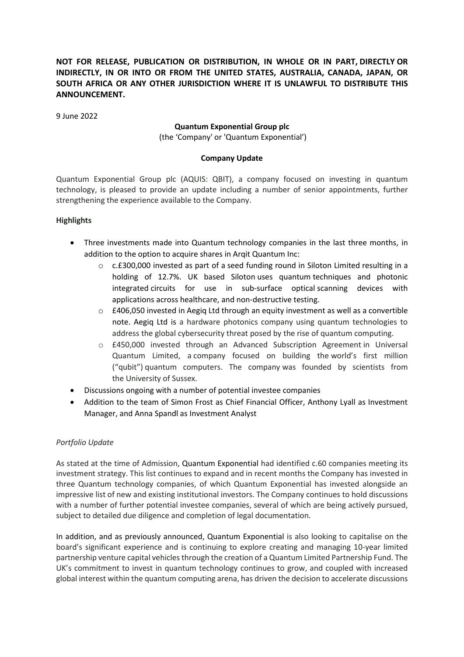# **NOT FOR RELEASE, PUBLICATION OR DISTRIBUTION, IN WHOLE OR IN PART, DIRECTLY OR INDIRECTLY, IN OR INTO OR FROM THE UNITED STATES, AUSTRALIA, CANADA, JAPAN, OR SOUTH AFRICA OR ANY OTHER JURISDICTION WHERE IT IS UNLAWFUL TO DISTRIBUTE THIS ANNOUNCEMENT.**

9 June 2022

### **Quantum Exponential Group plc**

(the 'Company' or 'Quantum Exponential')

### **Company Update**

Quantum Exponential Group plc (AQUIS: QBIT), a company focused on investing in quantum technology, is pleased to provide an update including a number of senior appointments, further strengthening the experience available to the Company.

## **Highlights**

- Three investments made into Quantum technology companies in the last three months, in addition to the option to acquire shares in Arqit Quantum Inc:
	- $\circ$  c.£300,000 invested as part of a seed funding round in Siloton Limited resulting in a holding of 12.7%. UK based Siloton uses quantum techniques and photonic integrated circuits for use in sub-surface optical scanning devices with applications across healthcare, and non-destructive testing.
	- $\circ$  £406,050 invested in Aegiq Ltd through an equity investment as well as a convertible note. Aegiq Ltd is a hardware photonics company using quantum technologies to address the global cybersecurity threat posed by the rise of quantum computing.
	- o £450,000 invested through an Advanced Subscription Agreement in Universal Quantum Limited, a company focused on building the world's first million ("qubit") quantum computers. The company was founded by scientists from the University of Sussex.
- Discussions ongoing with a number of potential investee companies
- Addition to the team of Simon Frost as Chief Financial Officer, Anthony Lyall as Investment Manager, and Anna Spandl as Investment Analyst

## *Portfolio Update*

As stated at the time of Admission, Quantum Exponential had identified c.60 companies meeting its investment strategy. This list continues to expand and in recent months the Company has invested in three Quantum technology companies, of which Quantum Exponential has invested alongside an impressive list of new and existing institutional investors. The Company continues to hold discussions with a number of further potential investee companies, several of which are being actively pursued, subject to detailed due diligence and completion of legal documentation.

In addition, and as previously announced, Quantum Exponential is also looking to capitalise on the board's significant experience and is continuing to explore creating and managing 10-year limited partnership venture capital vehicles through the creation of a Quantum Limited Partnership Fund. The UK's commitment to invest in quantum technology continues to grow, and coupled with increased global interest within the quantum computing arena, has driven the decision to accelerate discussions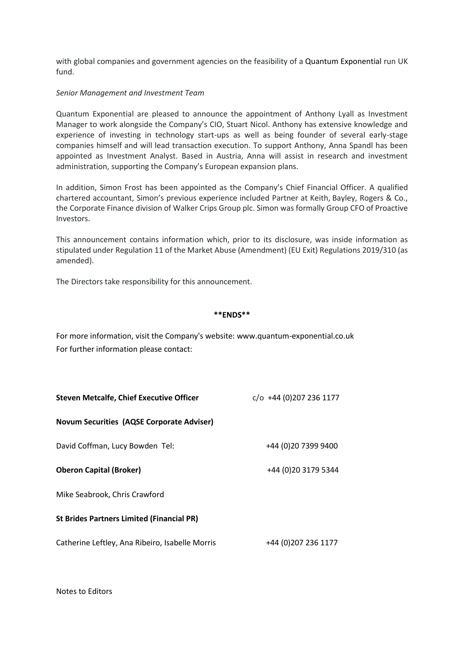with global companies and government agencies on the feasibility of a Quantum Exponential run UK fund.

#### *Senior Management and Investment Team*

Quantum Exponential are pleased to announce the appointment of Anthony Lyall as Investment Manager to work alongside the Company's CIO, Stuart Nicol. Anthony has extensive knowledge and experience of investing in technology start-ups as well as being founder of several early-stage companies himself and will lead transaction execution. To support Anthony, Anna Spandl has been appointed as Investment Analyst. Based in Austria, Anna will assist in research and investment administration, supporting the Company's European expansion plans.

In addition, Simon Frost has been appointed as the Company's Chief Financial Officer. A qualified chartered accountant, Simon's previous experience included Partner at Keith, Bayley, Rogers & Co., the Corporate Finance division of Walker Crips Group plc. Simon was formally Group CFO of Proactive Investors.

This announcement contains information which, prior to its disclosure, was inside information as stipulated under Regulation 11 of the Market Abuse (Amendment) (EU Exit) Regulations 2019/310 (as amended).

The Directors take responsibility for this announcement.

#### **\*\*ENDS\*\***

For more information, visit the Company's website: www.quantum-exponential.co.uk For further information please contact:

| <b>Steven Metcalfe, Chief Executive Officer</b>  | $c$ /o +44 (0)207 236 1177 |
|--------------------------------------------------|----------------------------|
| <b>Novum Securities (AQSE Corporate Adviser)</b> |                            |
| David Coffman, Lucy Bowden Tel:                  | +44 (0) 20 7399 9400       |
| <b>Oberon Capital (Broker)</b>                   | +44 (0) 20 3179 5344       |
| Mike Seabrook, Chris Crawford                    |                            |
| <b>St Brides Partners Limited (Financial PR)</b> |                            |
| Catherine Leftley, Ana Ribeiro, Isabelle Morris  | +44 (0) 207 236 1177       |

Notes to Editors